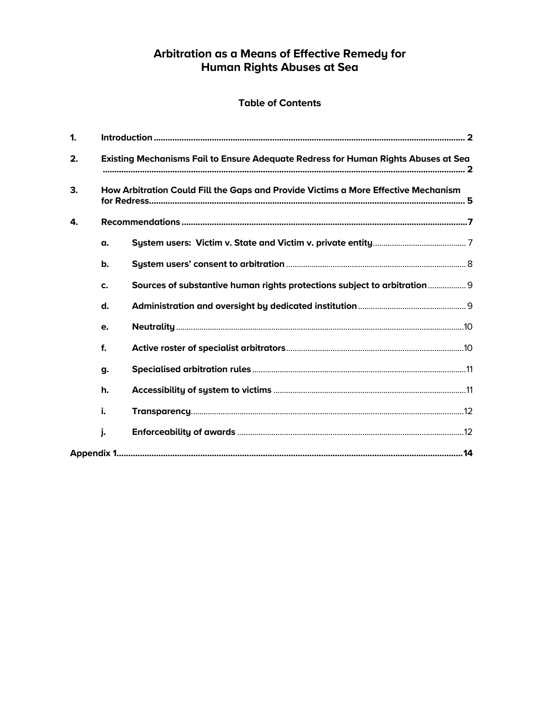# Arbitration as a Means of Effective Remedy for<br>Human Rights Abuses at Sea

# **Table of Contents**

| 1. |                                                                                    |                                                                          |  |
|----|------------------------------------------------------------------------------------|--------------------------------------------------------------------------|--|
| 2. | Existing Mechanisms Fail to Ensure Adequate Redress for Human Rights Abuses at Sea |                                                                          |  |
| 3. | How Arbitration Could Fill the Gaps and Provide Victims a More Effective Mechanism |                                                                          |  |
| 4. |                                                                                    |                                                                          |  |
|    | α.                                                                                 |                                                                          |  |
|    | b.                                                                                 |                                                                          |  |
|    | C.                                                                                 | Sources of substantive human rights protections subject to arbitration 9 |  |
|    | d.                                                                                 |                                                                          |  |
|    | e.                                                                                 |                                                                          |  |
|    | f.                                                                                 |                                                                          |  |
|    | g.                                                                                 |                                                                          |  |
|    | h.                                                                                 |                                                                          |  |
|    | i.                                                                                 |                                                                          |  |
|    | j.                                                                                 |                                                                          |  |
|    |                                                                                    |                                                                          |  |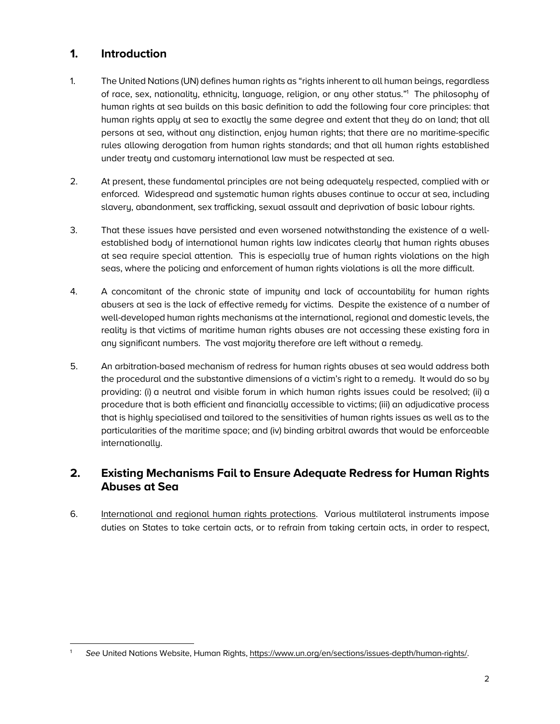# **1. Introduction**

- 1. The United Nations (UN) defines human rights as "rights inherent to all human beings, regardless of race, sex, nationality, ethnicity, language, religion, or any other status."<sup>1</sup> The philosophy of human rights at sea builds on this basic definition to add the following four core principles: that human rights apply at sea to exactly the same degree and extent that they do on land; that all persons at sea, without any distinction, enjoy human rights; that there are no maritime-specific rules allowing derogation from human rights standards; and that all human rights established under treaty and customary international law must be respected at sea.
- 2. At present, these fundamental principles are not being adequately respected, complied with or enforced. Widespread and systematic human rights abuses continue to occur at sea, including slavery, abandonment, sex trafficking, sexual assault and deprivation of basic labour rights.
- 3. That these issues have persisted and even worsened notwithstanding the existence of a wellestablished body of international human rights law indicates clearly that human rights abuses at sea require special attention. This is especially true of human rights violations on the high seas, where the policing and enforcement of human rights violations is all the more difficult.
- 4. A concomitant of the chronic state of impunity and lack of accountability for human rights abusers at sea is the lack of effective remedy for victims. Despite the existence of a number of well-developed human rights mechanisms at the international, regional and domestic levels, the reality is that victims of maritime human rights abuses are not accessing these existing fora in any significant numbers. The vast majority therefore are left without a remedy.
- 5. An arbitration-based mechanism of redress for human rights abuses at sea would address both the procedural and the substantive dimensions of a victim's right to a remedy. It would do so by providing: (i) a neutral and visible forum in which human rights issues could be resolved; (ii) a procedure that is both efficient and financially accessible to victims; (iii) an adjudicative process that is highly specialised and tailored to the sensitivities of human rights issues as well as to the particularities of the maritime space; and (iv) binding arbitral awards that would be enforceable internationally.

# **2. Existing Mechanisms Fail to Ensure Adequate Redress for Human Rights Abuses at Sea**

6. International and regional human rights protections. Various multilateral instruments impose duties on States to take certain acts, or to refrain from taking certain acts, in order to respect,

 1 See United Nations Website, Human Rights, https://www.un.org/en/sections/issues-depth/human-rights/.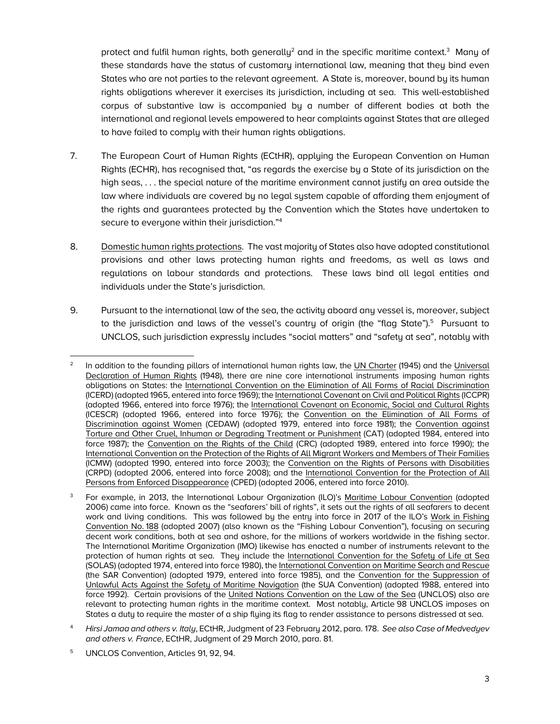protect and fulfil human rights, both generally<sup>2</sup> and in the specific maritime context.<sup>3</sup> Many of these standards have the status of customary international law, meaning that they bind even States who are not parties to the relevant agreement. A State is, moreover, bound by its human rights obligations wherever it exercises its jurisdiction, including at sea. This well-established corpus of substantive law is accompanied by a number of different bodies at both the international and regional levels empowered to hear complaints against States that are alleged to have failed to comply with their human rights obligations.

- 7. The European Court of Human Rights (ECtHR), applying the European Convention on Human Rights (ECHR), has recognised that, "as regards the exercise by a State of its jurisdiction on the high seas, . . . the special nature of the maritime environment cannot justify an area outside the law where individuals are covered by no legal system capable of affording them enjoyment of the rights and guarantees protected by the Convention which the States have undertaken to secure to everyone within their jurisdiction."4
- 8. Domestic human rights protections. The vast majority of States also have adopted constitutional provisions and other laws protecting human rights and freedoms, as well as laws and regulations on labour standards and protections. These laws bind all legal entities and individuals under the State's jurisdiction.
- 9. Pursuant to the international law of the sea, the activity aboard any vessel is, moreover, subject to the jurisdiction and laws of the vessel's country of origin (the "flag State").<sup>5</sup> Pursuant to UNCLOS, such jurisdiction expressly includes "social matters" and "safety at sea", notably with

<sup>5</sup> UNCLOS Convention, Articles 91, 92, 94.

 In addition to the founding pillars of international human rights law, the UN Charter (1945) and the Universal Declaration of Human Rights (1948), there are nine core international instruments imposing human rights obligations on States: the International Convention on the Elimination of All Forms of Racial Discrimination (ICERD) (adopted 1965, entered into force 1969); the International Covenant on Civil and Political Rights (ICCPR) (adopted 1966, entered into force 1976); the International Covenant on Economic, Social and Cultural Rights (ICESCR) (adopted 1966, entered into force 1976); the Convention on the Elimination of All Forms of Discrimination against Women (CEDAW) (adopted 1979, entered into force 1981); the Convention against Torture and Other Cruel, Inhuman or Degrading Treatment or Punishment (CAT) (adopted 1984, entered into force 1987); the Convention on the Rights of the Child (CRC) (adopted 1989, entered into force 1990); the International Convention on the Protection of the Rights of All Migrant Workers and Members of Their Families (ICMW) (adopted 1990, entered into force 2003); the Convention on the Rights of Persons with Disabilities (CRPD) (adopted 2006, entered into force 2008); and the International Convention for the Protection of All Persons from Enforced Disappearance (CPED) (adopted 2006, entered into force 2010).

<sup>3</sup> For example, in 2013, the International Labour Organization (ILO)'s Maritime Labour Convention (adopted 2006) came into force. Known as the "seafarers' bill of rights", it sets out the rights of all seafarers to decent work and living conditions. This was followed by the entry into force in 2017 of the ILO's Work in Fishing Convention No. 188 (adopted 2007) (also known as the "Fishing Labour Convention"), focusing on securing decent work conditions, both at sea and ashore, for the millions of workers worldwide in the fishing sector. The International Maritime Organization (IMO) likewise has enacted a number of instruments relevant to the protection of human rights at sea. They include the International Convention for the Safety of Life at Sea (SOLAS) (adopted 1974, entered into force 1980), the International Convention on Maritime Search and Rescue (the SAR Convention) (adopted 1979, entered into force 1985), and the Convention for the Suppression of Unlawful Acts Against the Safety of Maritime Navigation (the SUA Convention) (adopted 1988, entered into force 1992). Certain provisions of the United Nations Convention on the Law of the Sea (UNCLOS) also are relevant to protecting human rights in the maritime context. Most notably, Article 98 UNCLOS imposes on States a duty to require the master of a ship flying its flag to render assistance to persons distressed at sea.

<sup>4</sup> *Hirsi Jamaa and others v. Italy*, ECtHR, Judgment of 23 February 2012, para. 178. *See also Case of Medvedyev and others v. France*, ECtHR, Judgment of 29 March 2010, para. 81.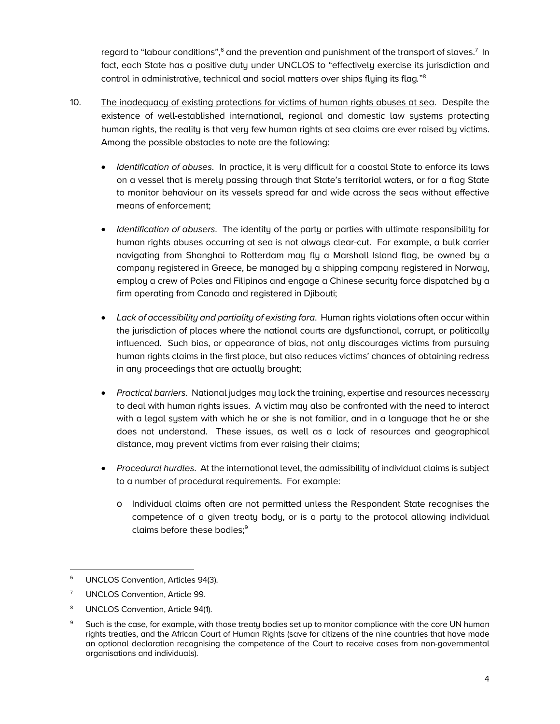regard to "labour conditions", $^6$  and the prevention and punishment of the transport of slaves. $^7$  In fact, each State has a positive duty under UNCLOS to "effectively exercise its jurisdiction and control in administrative, technical and social matters over ships flying its flag*.*"8

- 10. The inadequacy of existing protections for victims of human rights abuses at sea. Despite the existence of well-established international, regional and domestic law systems protecting human rights, the reality is that very few human rights at sea claims are ever raised by victims. Among the possible obstacles to note are the following:
	- *Identification of abuses*. In practice, it is very difficult for a coastal State to enforce its laws on a vessel that is merely passing through that State's territorial waters, or for a flag State to monitor behaviour on its vessels spread far and wide across the seas without effective means of enforcement;
	- *Identification of abusers*. The identity of the party or parties with ultimate responsibility for human rights abuses occurring at sea is not always clear-cut. For example, a bulk carrier navigating from Shanghai to Rotterdam may fly a Marshall Island flag, be owned by a company registered in Greece, be managed by a shipping company registered in Norway, employ a crew of Poles and Filipinos and engage a Chinese security force dispatched by a firm operating from Canada and registered in Djibouti;
	- *Lack of accessibility and partiality of existing fora*. Human rights violations often occur within the jurisdiction of places where the national courts are dysfunctional, corrupt, or politically influenced. Such bias, or appearance of bias, not only discourages victims from pursuing human rights claims in the first place, but also reduces victims' chances of obtaining redress in any proceedings that are actually brought;
	- *Practical barriers*. National judges may lack the training, expertise and resources necessary to deal with human rights issues. A victim may also be confronted with the need to interact with a legal system with which he or she is not familiar, and in a language that he or she does not understand. These issues, as well as a lack of resources and geographical distance, may prevent victims from ever raising their claims;
	- *Procedural hurdles*. At the international level, the admissibility of individual claims is subject to a number of procedural requirements. For example:
		- o Individual claims often are not permitted unless the Respondent State recognises the competence of a given treaty body, or is a party to the protocol allowing individual claims before these bodies:<sup>9</sup>

 <sup>6</sup> UNCLOS Convention, Articles 94(3).

<sup>7</sup> UNCLOS Convention, Article 99.

<sup>8</sup> UNCLOS Convention, Article 94(1).

<sup>&</sup>lt;sup>9</sup> Such is the case, for example, with those treaty bodies set up to monitor compliance with the core UN human rights treaties, and the African Court of Human Rights (save for citizens of the nine countries that have made an optional declaration recognising the competence of the Court to receive cases from non-governmental organisations and individuals).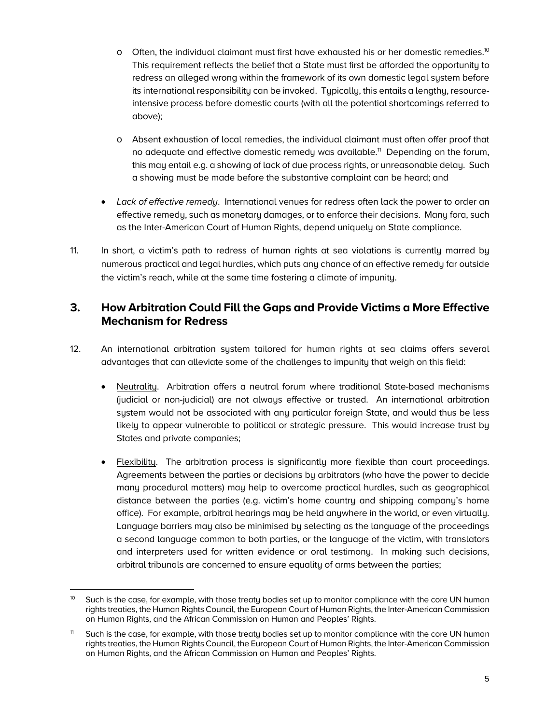- o Often, the individual claimant must first have exhausted his or her domestic remedies.<sup>10</sup> This requirement reflects the belief that a State must first be afforded the opportunity to redress an alleged wrong within the framework of its own domestic legal system before its international responsibility can be invoked. Typically, this entails a lengthy, resourceintensive process before domestic courts (with all the potential shortcomings referred to above);
- o Absent exhaustion of local remedies, the individual claimant must often offer proof that no adequate and effective domestic remedy was available.<sup>11</sup> Depending on the forum, this may entail e.g. a showing of lack of due process rights, or unreasonable delay. Such a showing must be made before the substantive complaint can be heard; and
- *Lack of effective remedy*. International venues for redress often lack the power to order an effective remedy, such as monetary damages, or to enforce their decisions. Many fora, such as the Inter-American Court of Human Rights, depend uniquely on State compliance.
- 11. In short, a victim's path to redress of human rights at sea violations is currently marred by numerous practical and legal hurdles, which puts any chance of an effective remedy far outside the victim's reach, while at the same time fostering a climate of impunity.

# **3. How Arbitration Could Fill the Gaps and Provide Victims a More Effective Mechanism for Redress**

- 12. An international arbitration system tailored for human rights at sea claims offers several advantages that can alleviate some of the challenges to impunity that weigh on this field:
	- Neutrality. Arbitration offers a neutral forum where traditional State-based mechanisms (judicial or non-judicial) are not always effective or trusted. An international arbitration system would not be associated with any particular foreign State, and would thus be less likely to appear vulnerable to political or strategic pressure. This would increase trust by States and private companies;
	- Flexibility. The arbitration process is significantly more flexible than court proceedings. Agreements between the parties or decisions by arbitrators (who have the power to decide many procedural matters) may help to overcome practical hurdles, such as geographical distance between the parties (e.g. victim's home country and shipping company's home office). For example, arbitral hearings may be held anywhere in the world, or even virtually. Language barriers may also be minimised by selecting as the language of the proceedings a second language common to both parties, or the language of the victim, with translators and interpreters used for written evidence or oral testimony. In making such decisions, arbitral tribunals are concerned to ensure equality of arms between the parties;

 $\overline{a}$ Such is the case, for example, with those treaty bodies set up to monitor compliance with the core UN human rights treaties, the Human Rights Council, the European Court of Human Rights, the Inter-American Commission on Human Rights, and the African Commission on Human and Peoples' Rights.

<sup>&</sup>lt;sup>11</sup> Such is the case, for example, with those treaty bodies set up to monitor compliance with the core UN human rights treaties, the Human Rights Council, the European Court of Human Rights, the Inter-American Commission on Human Rights, and the African Commission on Human and Peoples' Rights.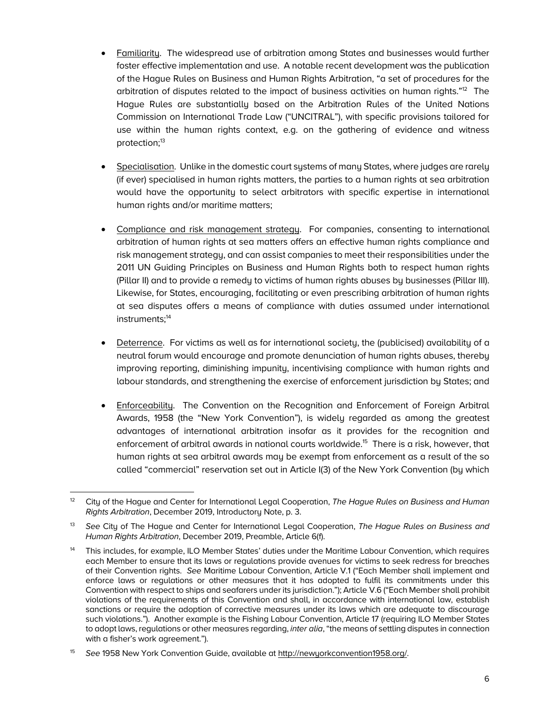- Familiarity. The widespread use of arbitration among States and businesses would further foster effective implementation and use. A notable recent development was the publication of the Hague Rules on Business and Human Rights Arbitration, "a set of procedures for the arbitration of disputes related to the impact of business activities on human rights."12 The Hague Rules are substantially based on the Arbitration Rules of the United Nations Commission on International Trade Law ("UNCITRAL"), with specific provisions tailored for use within the human rights context, e.g. on the gathering of evidence and witness protection;<sup>13</sup>
- Specialisation. Unlike in the domestic court systems of many States, where judges are rarely (if ever) specialised in human rights matters, the parties to a human rights at sea arbitration would have the opportunity to select arbitrators with specific expertise in international human rights and/or maritime matters;
- Compliance and risk management strategy. For companies, consenting to international arbitration of human rights at sea matters offers an effective human rights compliance and risk management strategy, and can assist companies to meet their responsibilities under the 2011 UN Guiding Principles on Business and Human Rights both to respect human rights (Pillar II) and to provide a remedy to victims of human rights abuses by businesses (Pillar III). Likewise, for States, encouraging, facilitating or even prescribing arbitration of human rights at sea disputes offers a means of compliance with duties assumed under international instruments;<sup>14</sup>
- Deterrence. For victims as well as for international society, the (publicised) availability of a neutral forum would encourage and promote denunciation of human rights abuses, thereby improving reporting, diminishing impunity, incentivising compliance with human rights and labour standards, and strengthening the exercise of enforcement jurisdiction by States; and
- Enforceability. The Convention on the Recognition and Enforcement of Foreign Arbitral Awards, 1958 (the "New York Convention"), is widely regarded as among the greatest advantages of international arbitration insofar as it provides for the recognition and enforcement of arbitral awards in national courts worldwide.<sup>15</sup> There is a risk, however, that human rights at sea arbitral awards may be exempt from enforcement as a result of the so called "commercial" reservation set out in Article I(3) of the New York Convention (by which

 12 City of the Hague and Center for International Legal Cooperation, *The Hague Rules on Business and Human Rights Arbitration*, December 2019, Introductory Note, p. 3.

<sup>13</sup> *See* City of The Hague and Center for International Legal Cooperation, *The Hague Rules on Business and Human Rights Arbitration*, December 2019, Preamble, Article 6(f).

<sup>14</sup> This includes, for example, ILO Member States' duties under the Maritime Labour Convention, which requires each Member to ensure that its laws or regulations provide avenues for victims to seek redress for breaches of their Convention rights. *See* Maritime Labour Convention, Article V.1 ("Each Member shall implement and enforce laws or regulations or other measures that it has adopted to fulfil its commitments under this Convention with respect to ships and seafarers under its jurisdiction."); Article V.6 ("Each Member shall prohibit violations of the requirements of this Convention and shall, in accordance with international law, establish sanctions or require the adoption of corrective measures under its laws which are adequate to discourage such violations."). Another example is the Fishing Labour Convention, Article 17 (requiring ILO Member States to adopt laws, regulations or other measures regarding, *inter alia*, "the means of settling disputes in connection with a fisher's work agreement.").

<sup>15</sup> *See* 1958 New York Convention Guide, available at http://newyorkconvention1958.org/.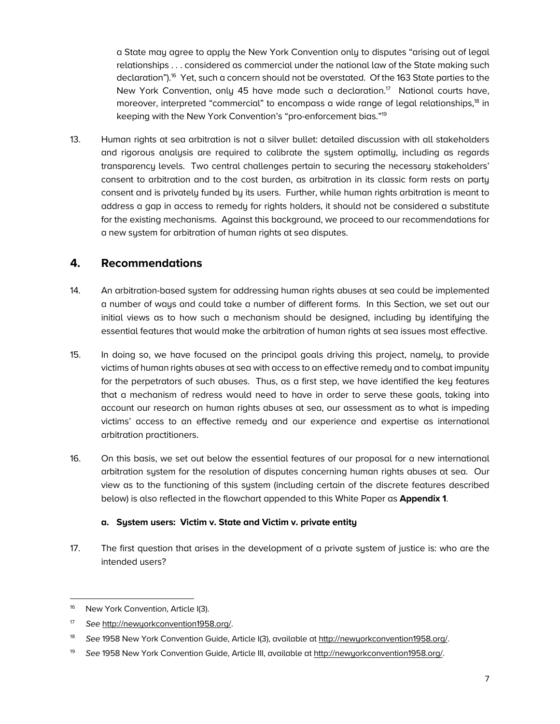a State may agree to apply the New York Convention only to disputes "arising out of legal relationships . . . considered as commercial under the national law of the State making such declaration").<sup>16</sup> Yet, such a concern should not be overstated. Of the 163 State parties to the New York Convention, only 45 have made such a declaration.<sup>17</sup> National courts have, moreover, interpreted "commercial" to encompass a wide range of legal relationships,<sup>18</sup> in keeping with the New York Convention's "pro-enforcement bias."19

13. Human rights at sea arbitration is not a silver bullet: detailed discussion with all stakeholders and rigorous analysis are required to calibrate the system optimally, including as regards transparency levels. Two central challenges pertain to securing the necessary stakeholders' consent to arbitration and to the cost burden, as arbitration in its classic form rests on party consent and is privately funded by its users. Further, while human rights arbitration is meant to address a gap in access to remedy for rights holders, it should not be considered a substitute for the existing mechanisms. Against this background, we proceed to our recommendations for a new system for arbitration of human rights at sea disputes.

## **4. Recommendations**

- 14. An arbitration-based system for addressing human rights abuses at sea could be implemented a number of ways and could take a number of different forms. In this Section, we set out our initial views as to how such a mechanism should be designed, including by identifying the essential features that would make the arbitration of human rights at sea issues most effective.
- 15. In doing so, we have focused on the principal goals driving this project, namely, to provide victims of human rights abuses at sea with access to an effective remedy and to combat impunity for the perpetrators of such abuses. Thus, as a first step, we have identified the key features that a mechanism of redress would need to have in order to serve these goals, taking into account our research on human rights abuses at sea, our assessment as to what is impeding victims' access to an effective remedy and our experience and expertise as international arbitration practitioners.
- 16. On this basis, we set out below the essential features of our proposal for a new international arbitration system for the resolution of disputes concerning human rights abuses at sea. Our view as to the functioning of this system (including certain of the discrete features described below) is also reflected in the flowchart appended to this White Paper as **Appendix 1**.

#### **a. System users: Victim v. State and Victim v. private entity**

17. The first question that arises in the development of a private system of justice is: who are the intended users?

 <sup>16</sup> New York Convention, Article I(3).

<sup>17</sup> *See* http://newyorkconvention1958.org/.

<sup>18</sup> *See* 1958 New York Convention Guide, Article I(3), available at http://newyorkconvention1958.org/.

<sup>19</sup> *See* 1958 New York Convention Guide, Article III, available at http://newyorkconvention1958.org/.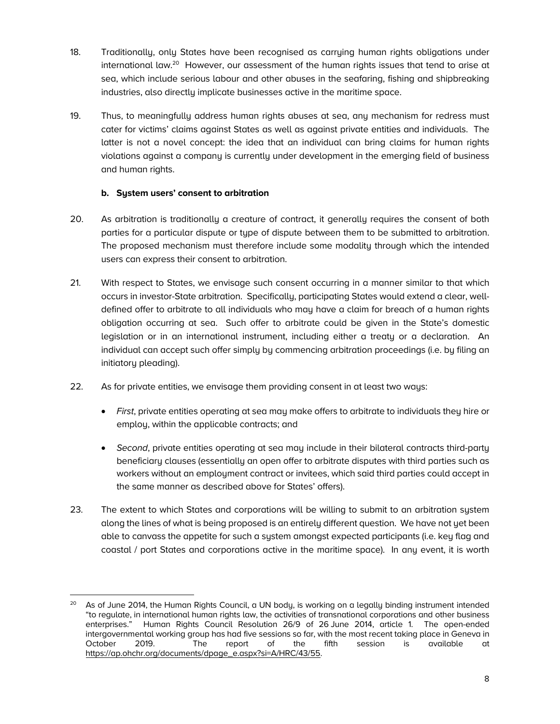- 18. Traditionally, only States have been recognised as carrying human rights obligations under international law.<sup>20</sup> However, our assessment of the human rights issues that tend to arise at sea, which include serious labour and other abuses in the seafaring, fishing and shipbreaking industries, also directly implicate businesses active in the maritime space.
- 19. Thus, to meaningfully address human rights abuses at sea, any mechanism for redress must cater for victims' claims against States as well as against private entities and individuals. The latter is not a novel concept: the idea that an individual can bring claims for human rights violations against a company is currently under development in the emerging field of business and human rights.

### **b. System users' consent to arbitration**

- 20. As arbitration is traditionally a creature of contract, it generally requires the consent of both parties for a particular dispute or type of dispute between them to be submitted to arbitration. The proposed mechanism must therefore include some modality through which the intended users can express their consent to arbitration.
- 21. With respect to States, we envisage such consent occurring in a manner similar to that which occurs in investor-State arbitration. Specifically, participating States would extend a clear, welldefined offer to arbitrate to all individuals who may have a claim for breach of a human rights obligation occurring at sea. Such offer to arbitrate could be given in the State's domestic legislation or in an international instrument, including either a treaty or a declaration. An individual can accept such offer simply by commencing arbitration proceedings (i.e. by filing an initiatory pleading).
- 22. As for private entities, we envisage them providing consent in at least two ways:
	- *First*, private entities operating at sea may make offers to arbitrate to individuals they hire or employ, within the applicable contracts; and
	- *Second*, private entities operating at sea may include in their bilateral contracts third-party beneficiary clauses (essentially an open offer to arbitrate disputes with third parties such as workers without an employment contract or invitees, which said third parties could accept in the same manner as described above for States' offers).
- 23. The extent to which States and corporations will be willing to submit to an arbitration system along the lines of what is being proposed is an entirely different question. We have not yet been able to canvass the appetite for such a system amongst expected participants (i.e. key flag and coastal / port States and corporations active in the maritime space). In any event, it is worth

 $\overline{a}$ 20 As of June 2014, the Human Rights Council, a UN body, is working on a legally binding instrument intended "to regulate, in international human rights law, the activities of transnational corporations and other business enterprises." Human Rights Council Resolution 26/9 of 26 June 2014, article 1. The open-ended intergovernmental working group has had five sessions so far, with the most recent taking place in Geneva in October 2019. The report of the fifth session is available at https://ap.ohchr.org/documents/dpage\_e.aspx?si=A/HRC/43/55.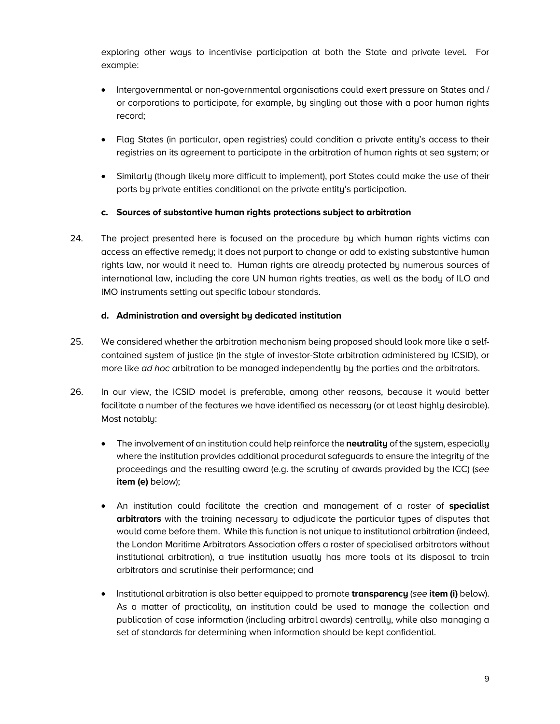exploring other ways to incentivise participation at both the State and private level. For example:

- Intergovernmental or non-governmental organisations could exert pressure on States and / or corporations to participate, for example, by singling out those with a poor human rights record;
- Flag States (in particular, open registries) could condition a private entity's access to their registries on its agreement to participate in the arbitration of human rights at sea system; or
- Similarly (though likely more difficult to implement), port States could make the use of their ports by private entities conditional on the private entity's participation.

#### **c. Sources of substantive human rights protections subject to arbitration**

24. The project presented here is focused on the procedure by which human rights victims can access an effective remedy; it does not purport to change or add to existing substantive human rights law, nor would it need to. Human rights are already protected by numerous sources of international law, including the core UN human rights treaties, as well as the body of ILO and IMO instruments setting out specific labour standards.

#### **d. Administration and oversight by dedicated institution**

- 25. We considered whether the arbitration mechanism being proposed should look more like a selfcontained system of justice (in the style of investor-State arbitration administered by ICSID), or more like *ad hoc* arbitration to be managed independently by the parties and the arbitrators.
- 26. In our view, the ICSID model is preferable, among other reasons, because it would better facilitate a number of the features we have identified as necessary (or at least highly desirable). Most notably:
	- The involvement of an institution could help reinforce the **neutrality** of the system, especially where the institution provides additional procedural safeguards to ensure the integrity of the proceedings and the resulting award (e.g. the scrutiny of awards provided by the ICC) (*see*  **item (e)** below);
	- An institution could facilitate the creation and management of a roster of **specialist arbitrators** with the training necessary to adjudicate the particular types of disputes that would come before them. While this function is not unique to institutional arbitration (indeed, the London Maritime Arbitrators Association offers a roster of specialised arbitrators without institutional arbitration), a true institution usually has more tools at its disposal to train arbitrators and scrutinise their performance; and
	- Institutional arbitration is also better equipped to promote **transparency** (*see* **item (i)** below). As a matter of practicality, an institution could be used to manage the collection and publication of case information (including arbitral awards) centrally, while also managing a set of standards for determining when information should be kept confidential.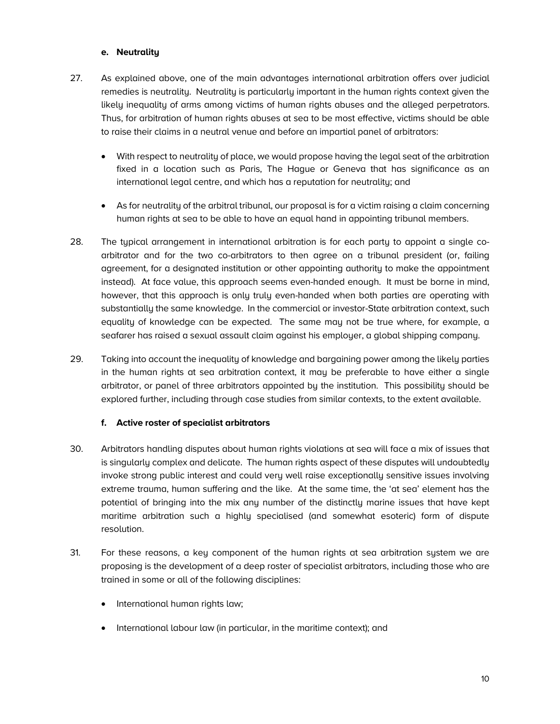#### **e. Neutrality**

- 27. As explained above, one of the main advantages international arbitration offers over judicial remedies is neutrality. Neutrality is particularly important in the human rights context given the likely inequality of arms among victims of human rights abuses and the alleged perpetrators. Thus, for arbitration of human rights abuses at sea to be most effective, victims should be able to raise their claims in a neutral venue and before an impartial panel of arbitrators:
	- With respect to neutrality of place, we would propose having the legal seat of the arbitration fixed in a location such as Paris, The Hague or Geneva that has significance as an international legal centre, and which has a reputation for neutrality; and
	- As for neutrality of the arbitral tribunal, our proposal is for a victim raising a claim concerning human rights at sea to be able to have an equal hand in appointing tribunal members.
- 28. The typical arrangement in international arbitration is for each party to appoint a single coarbitrator and for the two co-arbitrators to then agree on a tribunal president (or, failing agreement, for a designated institution or other appointing authority to make the appointment instead). At face value, this approach seems even-handed enough. It must be borne in mind, however, that this approach is only truly even-handed when both parties are operating with substantially the same knowledge. In the commercial or investor-State arbitration context, such equality of knowledge can be expected. The same may not be true where, for example, a seafarer has raised a sexual assault claim against his employer, a global shipping company.
- 29. Taking into account the inequality of knowledge and bargaining power among the likely parties in the human rights at sea arbitration context, it may be preferable to have either a single arbitrator, or panel of three arbitrators appointed by the institution. This possibility should be explored further, including through case studies from similar contexts, to the extent available.

#### **f. Active roster of specialist arbitrators**

- 30. Arbitrators handling disputes about human rights violations at sea will face a mix of issues that is singularly complex and delicate. The human rights aspect of these disputes will undoubtedly invoke strong public interest and could very well raise exceptionally sensitive issues involving extreme trauma, human suffering and the like. At the same time, the 'at sea' element has the potential of bringing into the mix any number of the distinctly marine issues that have kept maritime arbitration such a highly specialised (and somewhat esoteric) form of dispute resolution.
- 31. For these reasons, a key component of the human rights at sea arbitration system we are proposing is the development of a deep roster of specialist arbitrators, including those who are trained in some or all of the following disciplines:
	- International human rights law;
	- International labour law (in particular, in the maritime context); and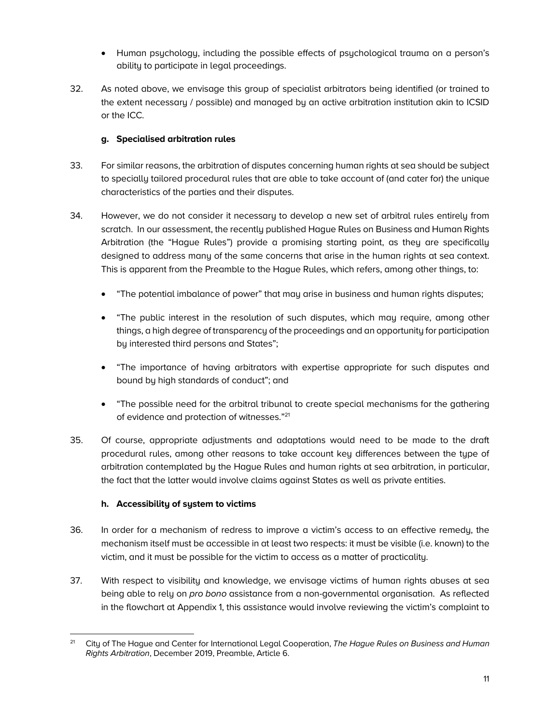- Human psychology, including the possible effects of psychological trauma on a person's ability to participate in legal proceedings.
- 32. As noted above, we envisage this group of specialist arbitrators being identified (or trained to the extent necessary / possible) and managed by an active arbitration institution akin to ICSID or the ICC.

### **g. Specialised arbitration rules**

- 33. For similar reasons, the arbitration of disputes concerning human rights at sea should be subject to specially tailored procedural rules that are able to take account of (and cater for) the unique characteristics of the parties and their disputes.
- 34. However, we do not consider it necessary to develop a new set of arbitral rules entirely from scratch. In our assessment, the recently published Hague Rules on Business and Human Rights Arbitration (the "Hague Rules") provide a promising starting point, as they are specifically designed to address many of the same concerns that arise in the human rights at sea context. This is apparent from the Preamble to the Hague Rules, which refers, among other things, to:
	- "The potential imbalance of power" that may arise in business and human rights disputes;
	- "The public interest in the resolution of such disputes, which may require, among other things, a high degree of transparency of the proceedings and an opportunity for participation by interested third persons and States";
	- "The importance of having arbitrators with expertise appropriate for such disputes and bound by high standards of conduct"; and
	- "The possible need for the arbitral tribunal to create special mechanisms for the gathering of evidence and protection of witnesses."21
- 35. Of course, appropriate adjustments and adaptations would need to be made to the draft procedural rules, among other reasons to take account key differences between the type of arbitration contemplated by the Hague Rules and human rights at sea arbitration, in particular, the fact that the latter would involve claims against States as well as private entities.

### **h. Accessibility of system to victims**

- 36. In order for a mechanism of redress to improve a victim's access to an effective remedy, the mechanism itself must be accessible in at least two respects: it must be visible (i.e. known) to the victim, and it must be possible for the victim to access as a matter of practicality.
- 37. With respect to visibility and knowledge, we envisage victims of human rights abuses at sea being able to rely on *pro bono* assistance from a non-governmental organisation. As reflected in the flowchart at Appendix 1, this assistance would involve reviewing the victim's complaint to

 $21$ 21 City of The Hague and Center for International Legal Cooperation, *The Hague Rules on Business and Human Rights Arbitration*, December 2019, Preamble, Article 6.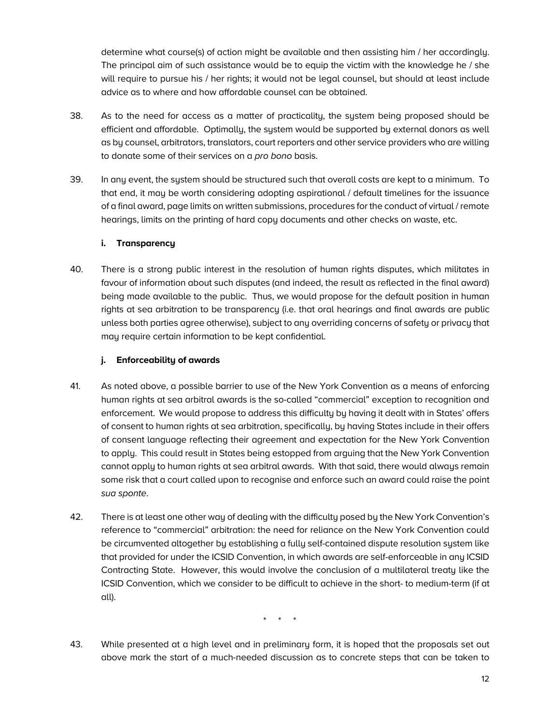determine what course(s) of action might be available and then assisting him / her accordingly. The principal aim of such assistance would be to equip the victim with the knowledge he / she will require to pursue his / her rights; it would not be legal counsel, but should at least include advice as to where and how affordable counsel can be obtained.

- 38. As to the need for access as a matter of practicality, the system being proposed should be efficient and affordable. Optimally, the system would be supported by external donors as well as by counsel, arbitrators, translators, court reporters and other service providers who are willing to donate some of their services on a *pro bono* basis.
- 39. In any event, the system should be structured such that overall costs are kept to a minimum. To that end, it may be worth considering adopting aspirational / default timelines for the issuance of a final award, page limits on written submissions, procedures for the conduct of virtual / remote hearings, limits on the printing of hard copy documents and other checks on waste, etc.

#### **i. Transparency**

40. There is a strong public interest in the resolution of human rights disputes, which militates in favour of information about such disputes (and indeed, the result as reflected in the final award) being made available to the public. Thus, we would propose for the default position in human rights at sea arbitration to be transparency (i.e. that oral hearings and final awards are public unless both parties agree otherwise), subject to any overriding concerns of safety or privacy that may require certain information to be kept confidential.

#### **j. Enforceability of awards**

- 41. As noted above, a possible barrier to use of the New York Convention as a means of enforcing human rights at sea arbitral awards is the so-called "commercial" exception to recognition and enforcement. We would propose to address this difficulty by having it dealt with in States' offers of consent to human rights at sea arbitration, specifically, by having States include in their offers of consent language reflecting their agreement and expectation for the New York Convention to apply. This could result in States being estopped from arguing that the New York Convention cannot apply to human rights at sea arbitral awards. With that said, there would always remain some risk that a court called upon to recognise and enforce such an award could raise the point *sua sponte*.
- 42. There is at least one other way of dealing with the difficulty posed by the New York Convention's reference to "commercial" arbitration: the need for reliance on the New York Convention could be circumvented altogether by establishing a fully self-contained dispute resolution system like that provided for under the ICSID Convention, in which awards are self-enforceable in any ICSID Contracting State. However, this would involve the conclusion of a multilateral treaty like the ICSID Convention, which we consider to be difficult to achieve in the short- to medium-term (if at all).

\* \* \*

43. While presented at a high level and in preliminary form, it is hoped that the proposals set out above mark the start of a much-needed discussion as to concrete steps that can be taken to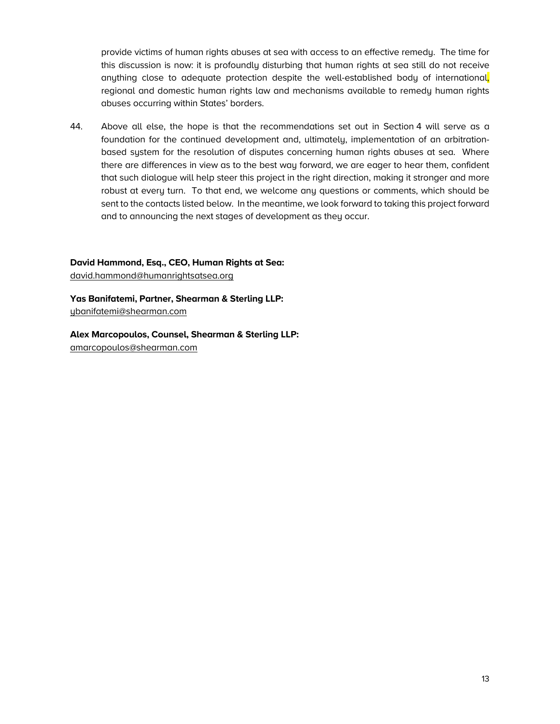provide victims of human rights abuses at sea with access to an effective remedy. The time for this discussion is now: it is profoundly disturbing that human rights at sea still do not receive anything close to adequate protection despite the well-established body of international, regional and domestic human rights law and mechanisms available to remedy human rights abuses occurring within States' borders.

44. Above all else, the hope is that the recommendations set out in Section 4 will serve as a foundation for the continued development and, ultimately, implementation of an arbitrationbased system for the resolution of disputes concerning human rights abuses at sea. Where there are differences in view as to the best way forward, we are eager to hear them, confident that such dialogue will help steer this project in the right direction, making it stronger and more robust at every turn. To that end, we welcome any questions or comments, which should be sent to the contacts listed below. In the meantime, we look forward to taking this project forward and to announcing the next stages of development as they occur.

**David Hammond, Esq., CEO, Human Rights at Sea:** david.hammond@humanrightsatsea.org

**Yas Banifatemi, Partner, Shearman & Sterling LLP:** ybanifatemi@shearman.com

**Alex Marcopoulos, Counsel, Shearman & Sterling LLP:** amarcopoulos@shearman.com